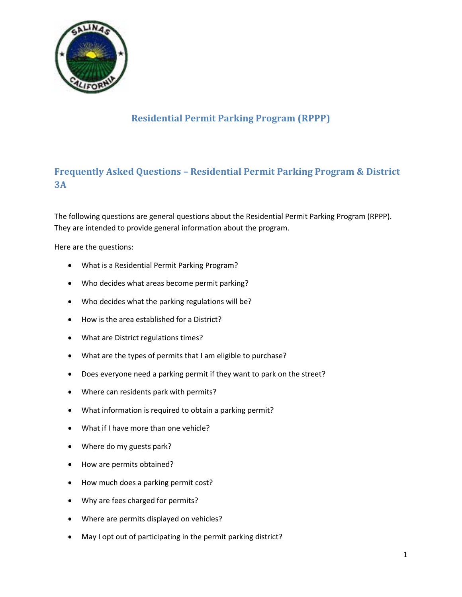

# **Residential Permit Parking Program (RPPP)**

# **Frequently Asked Questions – Residential Permit Parking Program & District 3A**

The following questions are general questions about the Residential Permit Parking Program (RPPP). They are intended to provide general information about the program.

Here are the questions:

- What is a Residential Permit Parking Program?
- Who decides what areas become permit parking?
- Who decides what the parking regulations will be?
- How is the area established for a District?
- What are District regulations times?
- What are the types of permits that I am eligible to purchase?
- Does everyone need a parking permit if they want to park on the street?
- Where can residents park with permits?
- What information is required to obtain a parking permit?
- What if I have more than one vehicle?
- Where do my guests park?
- How are permits obtained?
- How much does a parking permit cost?
- Why are fees charged for permits?
- Where are permits displayed on vehicles?
- May I opt out of participating in the permit parking district?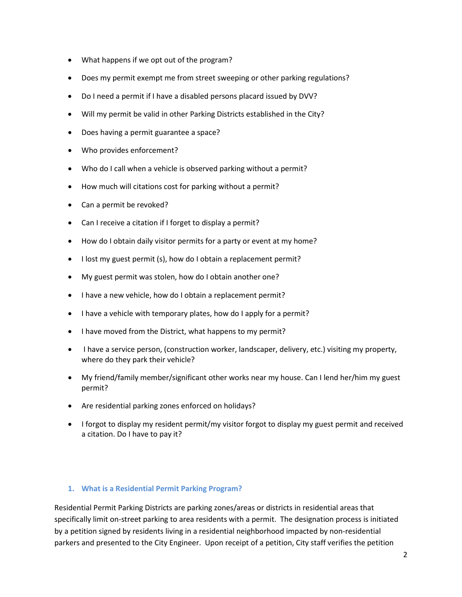- What happens if we opt out of the program?
- Does my permit exempt me from street sweeping or other parking regulations?
- Do I need a permit if I have a disabled persons placard issued by DVV?
- Will my permit be valid in other Parking Districts established in the City?
- Does having a permit guarantee a space?
- Who provides enforcement?
- Who do I call when a vehicle is observed parking without a permit?
- How much will citations cost for parking without a permit?
- Can a permit be revoked?
- Can I receive a citation if I forget to display a permit?
- How do I obtain daily visitor permits for a party or event at my home?
- I lost my guest permit (s), how do I obtain a replacement permit?
- My guest permit was stolen, how do I obtain another one?
- I have a new vehicle, how do I obtain a replacement permit?
- I have a vehicle with temporary plates, how do I apply for a permit?
- I have moved from the District, what happens to my permit?
- I have a service person, (construction worker, landscaper, delivery, etc.) visiting my property, where do they park their vehicle?
- My friend/family member/significant other works near my house. Can I lend her/him my guest permit?
- Are residential parking zones enforced on holidays?
- I forgot to display my resident permit/my visitor forgot to display my guest permit and received a citation. Do I have to pay it?

## **1. What is a Residential Permit Parking Program?**

Residential Permit Parking Districts are parking zones/areas or districts in residential areas that specifically limit on-street parking to area residents with a permit. The designation process is initiated by a petition signed by residents living in a residential neighborhood impacted by non-residential parkers and presented to the City Engineer. Upon receipt of a petition, City staff verifies the petition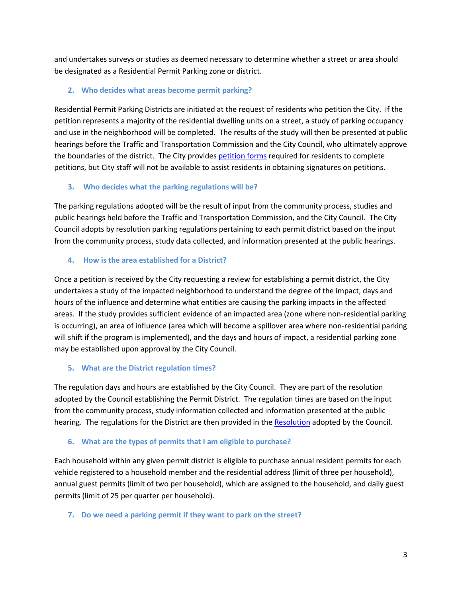and undertakes surveys or studies as deemed necessary to determine whether a street or area should be designated as a Residential Permit Parking zone or district.

## **2. Who decides what areas become permit parking?**

Residential Permit Parking Districts are initiated at the request of residents who petition the City. If the petition represents a majority of the residential dwelling units on a street, a study of parking occupancy and use in the neighborhood will be completed. The results of the study will then be presented at public hearings before the Traffic and Transportation Commission and the City Council, who ultimately approve the boundaries of the district. The City provides [petition forms](http://www.ci.salinas.ca.us/services/finance/pdf/Parking/PetitionforResidentialPermitParking.pdf) required for residents to complete petitions, but City staff will not be available to assist residents in obtaining signatures on petitions.

## **3. Who decides what the parking regulations will be?**

The parking regulations adopted will be the result of input from the community process, studies and public hearings held before the Traffic and Transportation Commission, and the City Council. The City Council adopts by resolution parking regulations pertaining to each permit district based on the input from the community process, study data collected, and information presented at the public hearings.

## **4. How is the area established for a District?**

Once a petition is received by the City requesting a review for establishing a permit district, the City undertakes a study of the impacted neighborhood to understand the degree of the impact, days and hours of the influence and determine what entities are causing the parking impacts in the affected areas. If the study provides sufficient evidence of an impacted area (zone where non-residential parking is occurring), an area of influence (area which will become a spillover area where non-residential parking will shift if the program is implemented), and the days and hours of impact, a residential parking zone may be established upon approval by the City Council.

## **5. What are the District regulation times?**

The regulation days and hours are established by the City Council. They are part of the resolution adopted by the Council establishing the Permit District. The regulation times are based on the input from the community process, study information collected and information presented at the public hearing. The regulations for the District are then provided in th[e Resolution](http://www.ci.salinas.ca.us/services/finance/pdf/Parking/Resolution_19778.pdf) adopted by the Council.

## **6. What are the types of permits that I am eligible to purchase?**

Each household within any given permit district is eligible to purchase annual resident permits for each vehicle registered to a household member and the residential address (limit of three per household), annual guest permits (limit of two per household), which are assigned to the household, and daily guest permits (limit of 25 per quarter per household).

## **7. Do we need a parking permit if they want to park on the street?**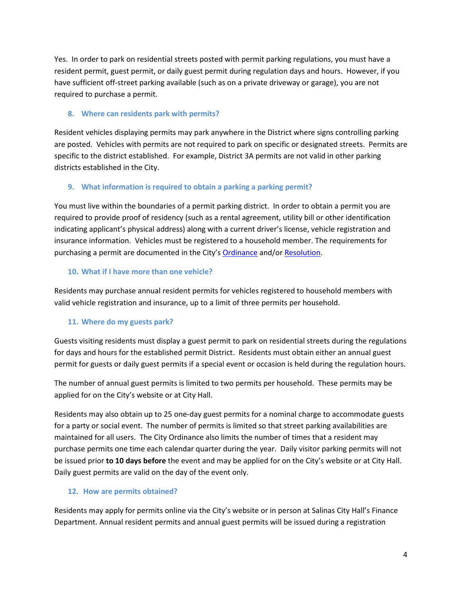Yes. In order to park on residential streets posted with permit parking regulations, you must have a resident permit, guest permit, or daily guest permit during regulation days and hours. However, if you have sufficient off-street parking available (such as on a private driveway or garage), you are not required to purchase a permit.

## **8. Where can residents park with permits?**

Resident vehicles displaying permits may park anywhere in the District where signs controlling parking are posted. Vehicles with permits are not required to park on specific or designated streets. Permits are specific to the district established. For example, District 3A permits are not valid in other parking districts established in the City.

## **9. What information is required to obtain a parking a parking permit?**

You must live within the boundaries of a permit parking district. In order to obtain a permit you are required to provide proof of residency (such as a rental agreement, utility bill or other identification indicating applicant's physical address) along with a current driver's license, vehicle registration and insurance information. Vehicles must be registered to a household member. The requirements for purchasing a permit are documented in the City's [Ordinance](http://www.ci.salinas.ca.us/services/finance/pdf/Parking/Ordinance_2498.pdf) and/or [Resolution.](http://www.ci.salinas.ca.us/services/finance/pdf/Parking/Resolution_19778.pdf)

## **10. What if I have more than one vehicle?**

Residents may purchase annual resident permits for vehicles registered to household members with valid vehicle registration and insurance, up to a limit of three permits per household.

## **11. Where do my guests park?**

Guests visiting residents must display a guest permit to park on residential streets during the regulations for days and hours for the established permit District. Residents must obtain either an annual guest permit for guests or daily guest permits if a special event or occasion is held during the regulation hours.

The number of annual guest permits is limited to two permits per household. These permits may be applied for on the City's website or at City Hall.

Residents may also obtain up to 25 one-day guest permits for a nominal charge to accommodate guests for a party or social event. The number of permits is limited so that street parking availabilities are maintained for all users. The City Ordinance also limits the number of times that a resident may purchase permits one time each calendar quarter during the year. Daily visitor parking permits will not be issued prior **to 10 days before** the event and may be applied for on the City's website or at City Hall. Daily guest permits are valid on the day of the event only.

## **12. How are permits obtained?**

Residents may apply for permits online via the City's website or in person at Salinas City Hall's Finance Department. Annual resident permits and annual guest permits will be issued during a registration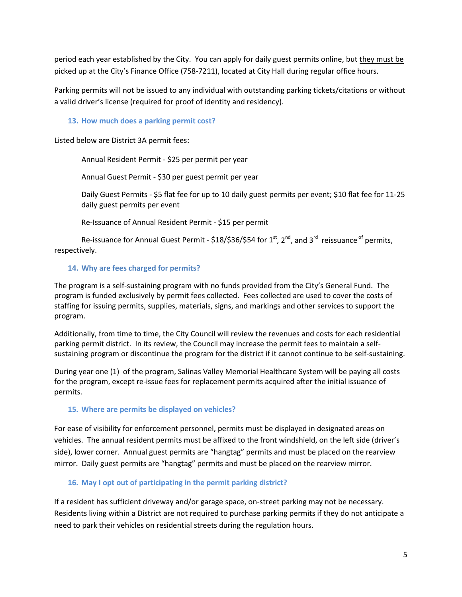period each year established by the City. You can apply for daily guest permits online, but they must be picked up at the City's Finance Office (758-7211), located at City Hall during regular office hours.

Parking permits will not be issued to any individual with outstanding parking tickets/citations or without a valid driver's license (required for proof of identity and residency).

#### **13. How much does a parking permit cost?**

Listed below are District 3A permit fees:

Annual Resident Permit - \$25 per permit per year

Annual Guest Permit - \$30 per guest permit per year

Daily Guest Permits - \$5 flat fee for up to 10 daily guest permits per event; \$10 flat fee for 11-25 daily guest permits per event

Re-Issuance of Annual Resident Permit - \$15 per permit

Re-issuance for Annual Guest Permit -  $$18/$36/$54$  for  $1<sup>st</sup>$ ,  $2<sup>nd</sup>$ , and  $3<sup>rd</sup>$  reissuance <sup>of</sup> permits, respectively.

## **14. Why are fees charged for permits?**

The program is a self-sustaining program with no funds provided from the City's General Fund. The program is funded exclusively by permit fees collected. Fees collected are used to cover the costs of staffing for issuing permits, supplies, materials, signs, and markings and other services to support the program.

Additionally, from time to time, the City Council will review the revenues and costs for each residential parking permit district. In its review, the Council may increase the permit fees to maintain a selfsustaining program or discontinue the program for the district if it cannot continue to be self-sustaining.

During year one (1) of the program, Salinas Valley Memorial Healthcare System will be paying all costs for the program, except re-issue fees for replacement permits acquired after the initial issuance of permits.

## **15. Where are permits be displayed on vehicles?**

For ease of visibility for enforcement personnel, permits must be displayed in designated areas on vehicles. The annual resident permits must be affixed to the front windshield, on the left side (driver's side), lower corner. Annual guest permits are "hangtag" permits and must be placed on the rearview mirror. Daily guest permits are "hangtag" permits and must be placed on the rearview mirror.

## **16. May I opt out of participating in the permit parking district?**

If a resident has sufficient driveway and/or garage space, on-street parking may not be necessary. Residents living within a District are not required to purchase parking permits if they do not anticipate a need to park their vehicles on residential streets during the regulation hours.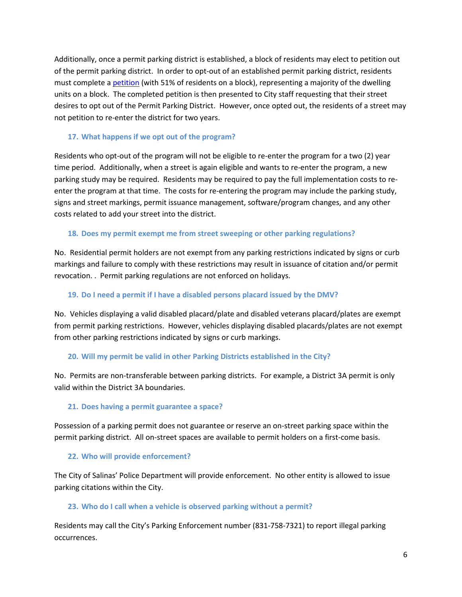Additionally, once a permit parking district is established, a block of residents may elect to petition out of the permit parking district. In order to opt-out of an established permit parking district, residents must complete [a petition](http://www.ci.salinas.ca.us/services/finance/pdf/Parking/ResidentialPermitParkingOptOut.pdf) (with 51% of residents on a block), representing a majority of the dwelling units on a block. The completed petition is then presented to City staff requesting that their street desires to opt out of the Permit Parking District. However, once opted out, the residents of a street may not petition to re-enter the district for two years.

### **17. What happens if we opt out of the program?**

Residents who opt-out of the program will not be eligible to re-enter the program for a two (2) year time period. Additionally, when a street is again eligible and wants to re-enter the program, a new parking study may be required. Residents may be required to pay the full implementation costs to reenter the program at that time. The costs for re-entering the program may include the parking study, signs and street markings, permit issuance management, software/program changes, and any other costs related to add your street into the district.

#### **18. Does my permit exempt me from street sweeping or other parking regulations?**

No. Residential permit holders are not exempt from any parking restrictions indicated by signs or curb markings and failure to comply with these restrictions may result in issuance of citation and/or permit revocation. . Permit parking regulations are not enforced on holidays.

#### **19. Do I need a permit if I have a disabled persons placard issued by the DMV?**

No. Vehicles displaying a valid disabled placard/plate and disabled veterans placard/plates are exempt from permit parking restrictions. However, vehicles displaying disabled placards/plates are not exempt from other parking restrictions indicated by signs or curb markings.

## **20. Will my permit be valid in other Parking Districts established in the City?**

No. Permits are non-transferable between parking districts. For example, a District 3A permit is only valid within the District 3A boundaries.

#### **21. Does having a permit guarantee a space?**

Possession of a parking permit does not guarantee or reserve an on-street parking space within the permit parking district. All on-street spaces are available to permit holders on a first-come basis.

#### **22. Who will provide enforcement?**

The City of Salinas' Police Department will provide enforcement. No other entity is allowed to issue parking citations within the City.

#### **23. Who do I call when a vehicle is observed parking without a permit?**

Residents may call the City's Parking Enforcement number (831-758-7321) to report illegal parking occurrences.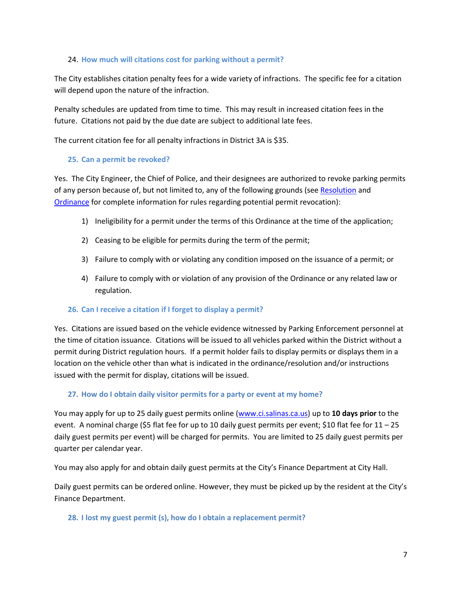#### 24. **How much will citations cost for parking without a permit?**

The City establishes citation penalty fees for a wide variety of infractions. The specific fee for a citation will depend upon the nature of the infraction.

Penalty schedules are updated from time to time. This may result in increased citation fees in the future. Citations not paid by the due date are subject to additional late fees.

The current citation fee for all penalty infractions in District 3A is \$35.

#### **25. Can a permit be revoked?**

Yes. The City Engineer, the Chief of Police, and their designees are authorized to revoke parking permits of any person because of, but not limited to, any of the following grounds (se[e Resolution](http://www.ci.salinas.ca.us/services/finance/pdf/Parking/Resolution_19778.pdf) and [Ordinance](http://www.ci.salinas.ca.us/services/finance/pdf/Parking/Ordinance_2498.pdf) for complete information for rules regarding potential permit revocation):

- 1) Ineligibility for a permit under the terms of this Ordinance at the time of the application;
- 2) Ceasing to be eligible for permits during the term of the permit;
- 3) Failure to comply with or violating any condition imposed on the issuance of a permit; or
- 4) Failure to comply with or violation of any provision of the Ordinance or any related law or regulation.

#### **26. Can I receive a citation if I forget to display a permit?**

Yes. Citations are issued based on the vehicle evidence witnessed by Parking Enforcement personnel at the time of citation issuance. Citations will be issued to all vehicles parked within the District without a permit during District regulation hours. If a permit holder fails to display permits or displays them in a location on the vehicle other than what is indicated in the ordinance/resolution and/or instructions issued with the permit for display, citations will be issued.

## **27. How do I obtain daily visitor permits for a party or event at my home?**

You may apply for up to 25 daily guest permits online [\(www.ci.salinas.ca.us\)](http://www.ci.salinas.ca.us/) up to **10 days prior** to the event. A nominal charge (\$5 flat fee for up to 10 daily guest permits per event; \$10 flat fee for  $11 - 25$ daily guest permits per event) will be charged for permits. You are limited to 25 daily guest permits per quarter per calendar year.

You may also apply for and obtain daily guest permits at the City's Finance Department at City Hall.

Daily guest permits can be ordered online. However, they must be picked up by the resident at the City's Finance Department.

#### **28. I lost my guest permit (s), how do I obtain a replacement permit?**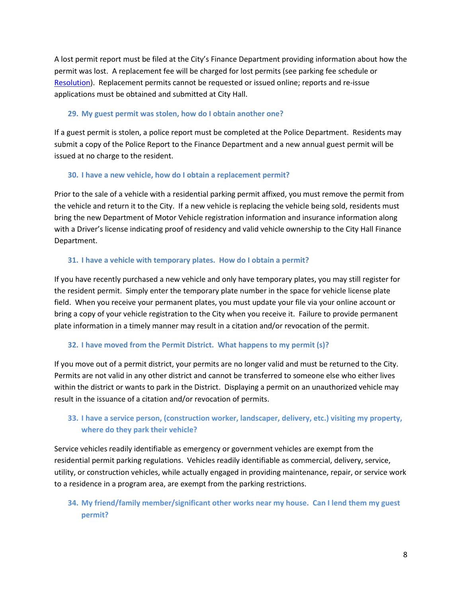A lost permit report must be filed at the City's Finance Department providing information about how the permit was lost. A replacement fee will be charged for lost permits (see parking fee schedule or [Resolution\)](http://www.ci.salinas.ca.us/services/finance/pdf/Parking/Resolution_19778.pdf). Replacement permits cannot be requested or issued online; reports and re-issue applications must be obtained and submitted at City Hall.

### **29. My guest permit was stolen, how do I obtain another one?**

If a guest permit is stolen, a police report must be completed at the Police Department. Residents may submit a copy of the Police Report to the Finance Department and a new annual guest permit will be issued at no charge to the resident.

#### **30. I have a new vehicle, how do I obtain a replacement permit?**

Prior to the sale of a vehicle with a residential parking permit affixed, you must remove the permit from the vehicle and return it to the City. If a new vehicle is replacing the vehicle being sold, residents must bring the new Department of Motor Vehicle registration information and insurance information along with a Driver's license indicating proof of residency and valid vehicle ownership to the City Hall Finance Department.

#### **31. I have a vehicle with temporary plates. How do I obtain a permit?**

If you have recently purchased a new vehicle and only have temporary plates, you may still register for the resident permit. Simply enter the temporary plate number in the space for vehicle license plate field. When you receive your permanent plates, you must update your file via your online account or bring a copy of your vehicle registration to the City when you receive it. Failure to provide permanent plate information in a timely manner may result in a citation and/or revocation of the permit.

## **32. I have moved from the Permit District. What happens to my permit (s)?**

If you move out of a permit district, your permits are no longer valid and must be returned to the City. Permits are not valid in any other district and cannot be transferred to someone else who either lives within the district or wants to park in the District. Displaying a permit on an unauthorized vehicle may result in the issuance of a citation and/or revocation of permits.

## **33. I have a service person, (construction worker, landscaper, delivery, etc.) visiting my property, where do they park their vehicle?**

Service vehicles readily identifiable as emergency or government vehicles are exempt from the residential permit parking regulations. Vehicles readily identifiable as commercial, delivery, service, utility, or construction vehicles, while actually engaged in providing maintenance, repair, or service work to a residence in a program area, are exempt from the parking restrictions.

## **34. My friend/family member/significant other works near my house. Can I lend them my guest permit?**